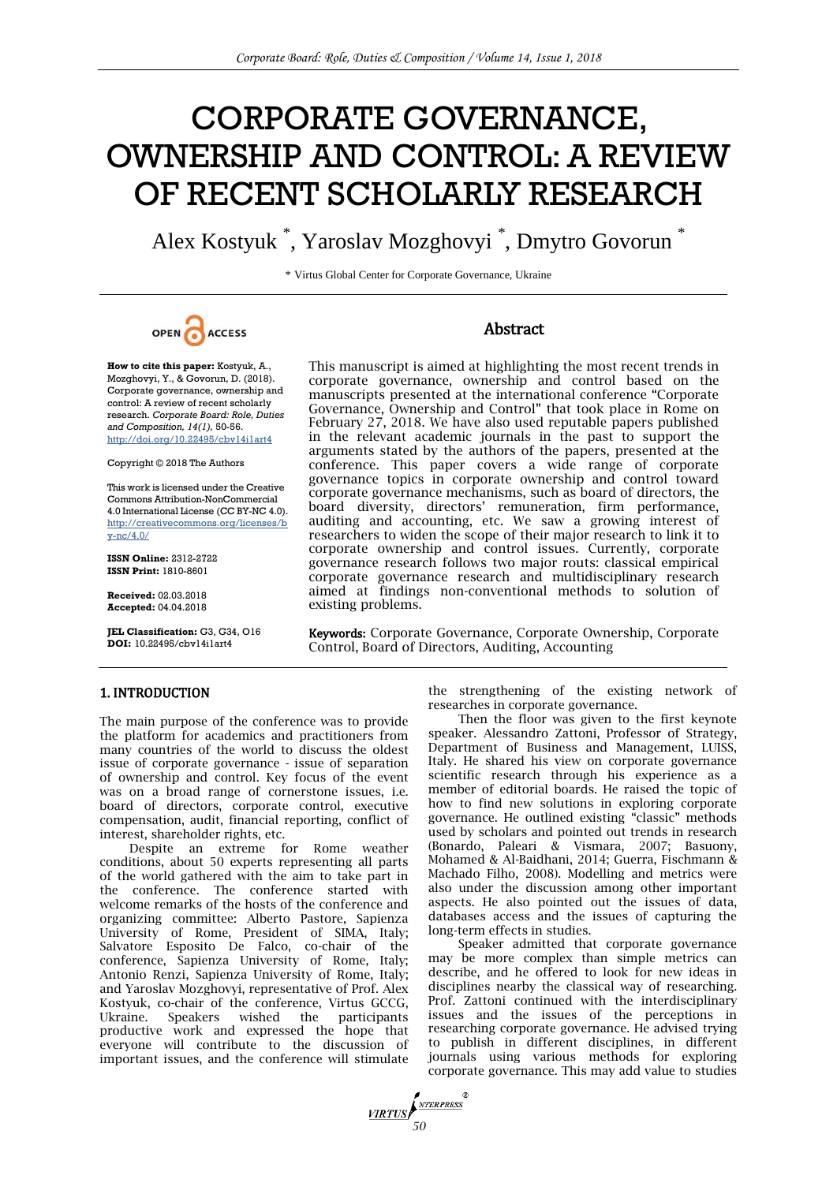# CORPORATE GOVERNANCE, OWNERSHIP AND CONTROL: A REVIEW OF RECENT SCHOLARLY RESEARCH

Alex Kostyuk \* , Yaroslav Mozghovyi \* , Dmytro Govorun \*

\* Virtus Global Center for Corporate Governance, Ukraine



**How to cite this paper:** Kostyuk, A., Mozghovyi, Y., & Govorun, D. (2018). Corporate governance, ownership and control: A review of recent scholarly research. *Corporate Board: Role, Duties and Composition, 14(1),* 50-56. http://doi.org/10.22495/cbv14i1art4

Copyright © 2018 The Authors

This work is licensed under the Creative Commons Attribution-NonCommercial 4.0 International License (CC BY-NC 4.0). [http://creativecommons.org/licenses/b](http://creativecommons.org/licenses/by-nc/4.0/) [y-nc/4.0/](http://creativecommons.org/licenses/by-nc/4.0/)

**ISSN Online:** 2312-2722 **ISSN Print:** 1810-8601

**Received:** 02.03.2018 **Accepted:** 04.04.2018

**JEL Classification:** G3, G34, O16 **DOI:** 10.22495/cbv14i1art4

# Abstract

This manuscript is aimed at highlighting the most recent trends in corporate governance, ownership and control based on the manuscripts presented at the international conference "Corporate Governance, Ownership and Control" that took place in Rome on February 27, 2018. We have also used reputable papers published in the relevant academic journals in the past to support the arguments stated by the authors of the papers, presented at the conference. This paper covers a wide range of corporate governance topics in corporate ownership and control toward corporate governance mechanisms, such as board of directors, the board diversity, directors' remuneration, firm performance, auditing and accounting, etc. We saw a growing interest of researchers to widen the scope of their major research to link it to corporate ownership and control issues. Currently, corporate governance research follows two major routs: classical empirical corporate governance research and multidisciplinary research aimed at findings non-conventional methods to solution of existing problems.

Keywords: Corporate Governance, Corporate Ownership, Corporate Control, Board of Directors, Auditing, Accounting

## 1. INTRODUCTION

The main purpose of the conference was to provide the platform for academics and practitioners from many countries of the world to discuss the oldest issue of corporate governance - issue of separation of ownership and control. Key focus of the event was on a broad range of cornerstone issues, i.e. board of directors, corporate control, executive compensation, audit, financial reporting, conflict of interest, shareholder rights, etc.

Despite an extreme for Rome weather conditions, about 50 experts representing all parts of the world gathered with the aim to take part in the conference. The conference started with welcome remarks of the hosts of the conference and organizing committee: Alberto Pastore, Sapienza University of Rome, President of SIMA, Italy; Salvatore Esposito De Falco, co-chair of the conference, Sapienza University of Rome, Italy; Antonio Renzi, Sapienza University of Rome, Italy; and Yaroslav Mozghovyi, representative of Prof. Alex Kostyuk, co-chair of the conference, Virtus GCCG, Ukraine. Speakers wished the participants productive work and expressed the hope that everyone will contribute to the discussion of important issues, and the conference will stimulate the strengthening of the existing network of researches in corporate governance.

Then the floor was given to the first keynote speaker. Alessandro Zattoni, Professor of Strategy, Department of Business and Management, LUISS, Italy. He shared his view on corporate governance scientific research through his experience as a member of editorial boards. He raised the topic of how to find new solutions in exploring corporate governance. He outlined existing "classic" methods used by scholars and pointed out trends in research (Bonardo, Paleari & Vismara, 2007; Basuony, Mohamed & Al-Baidhani, 2014; Guerra, Fischmann & Machado Filho, 2008). Modelling and metrics were also under the discussion among other important aspects. He also pointed out the issues of data, databases access and the issues of capturing the long-term effects in studies.

Speaker admitted that corporate governance may be more complex than simple metrics can describe, and he offered to look for new ideas in disciplines nearby the classical way of researching. Prof. Zattoni continued with the interdisciplinary issues and the issues of the perceptions in researching corporate governance. He advised trying to publish in different disciplines, in different journals using various methods for exploring corporate governance. This may add value to studies

**FIRTUS**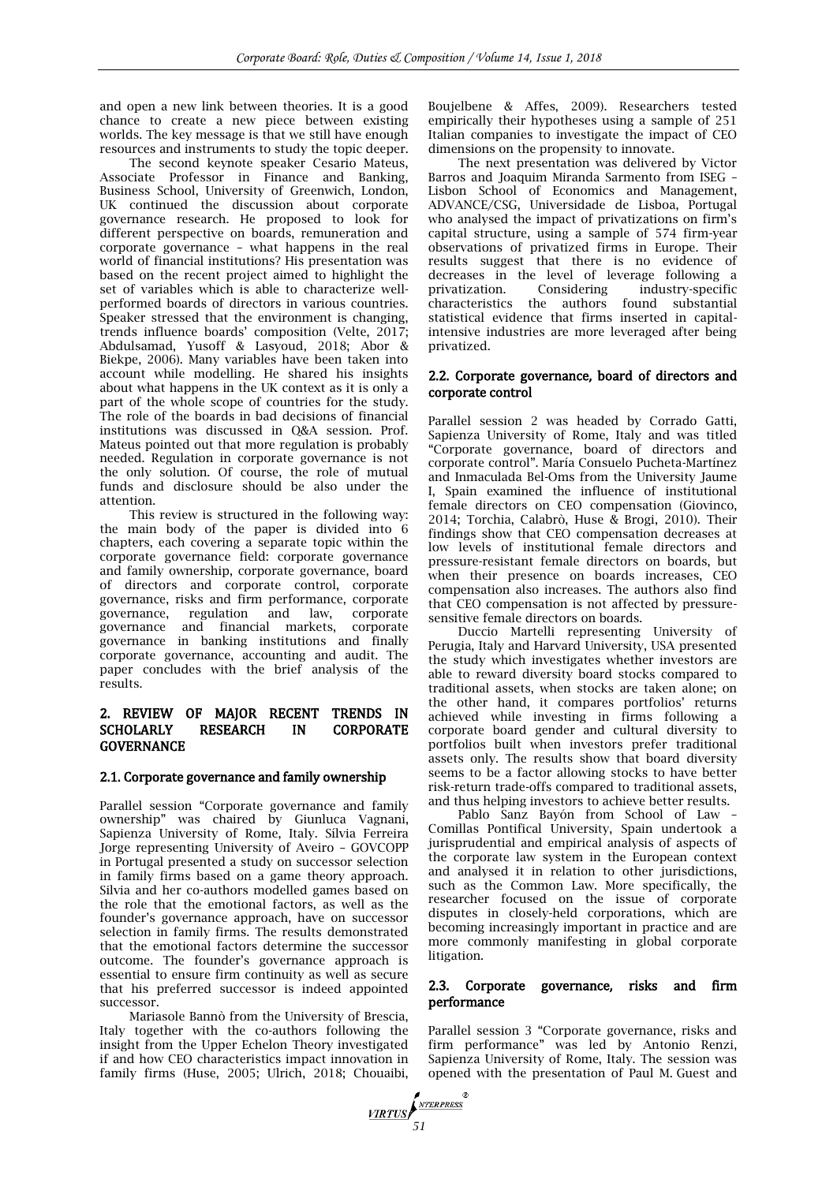and open a new link between theories. It is a good chance to create a new piece between existing worlds. The key message is that we still have enough resources and instruments to study the topic deeper.

The second keynote speaker Cesario Mateus, Associate Professor in Finance and Banking, Business School, University of Greenwich, London, UK continued the discussion about corporate governance research. He proposed to look for different perspective on boards, remuneration and corporate governance – what happens in the real world of financial institutions? His presentation was based on the recent project aimed to highlight the set of variables which is able to characterize wellperformed boards of directors in various countries. Speaker stressed that the environment is changing, trends influence boards' composition (Velte, 2017; Abdulsamad, Yusoff & Lasyoud, 2018; Abor & Biekpe, 2006). Many variables have been taken into account while modelling. He shared his insights about what happens in the UK context as it is only a part of the whole scope of countries for the study. The role of the boards in bad decisions of financial institutions was discussed in Q&A session. Prof. Mateus pointed out that more regulation is probably needed. Regulation in corporate governance is not the only solution. Of course, the role of mutual funds and disclosure should be also under the attention.

This review is structured in the following way: the main body of the paper is divided into 6 chapters, each covering a separate topic within the corporate governance field: corporate governance and family ownership, corporate governance, board of directors and corporate control, corporate governance, risks and firm performance, corporate governance, regulation and law, corporate governance and financial markets, corporate governance in banking institutions and finally corporate governance, accounting and audit. The paper concludes with the brief analysis of the results.

# 2. REVIEW OF MAJOR RECENT TRENDS IN SCHOLARLY RESEARCH IN CORPORATE **GOVERNANCE**

## 2.1. Corporate governance and family ownership

Parallel session "Corporate governance and family ownership" was chaired by Giunluca Vagnani, Sapienza University of Rome, Italy. Sílvia Ferreira Jorge representing University of Aveiro – GOVCOPP in Portugal presented a study on successor selection in family firms based on a game theory approach. Silvia and her co-authors modelled games based on the role that the emotional factors, as well as the founder's governance approach, have on successor selection in family firms. The results demonstrated that the emotional factors determine the successor outcome. The founder's governance approach is essential to ensure firm continuity as well as secure that his preferred successor is indeed appointed successor.

Mariasole Bannò from the University of Brescia, Italy together with the co-authors following the insight from the Upper Echelon Theory investigated if and how CEO characteristics impact innovation in family firms (Huse, 2005; Ulrich, 2018; Chouaibi, Boujelbene & Affes, 2009). Researchers tested empirically their hypotheses using a sample of 251 Italian companies to investigate the impact of CEO dimensions on the propensity to innovate.

The next presentation was delivered by Victor Barros and Joaquim Miranda Sarmento from ISEG – Lisbon School of Economics and Management, ADVANCE/CSG, Universidade de Lisboa, Portugal who analysed the impact of privatizations on firm's capital structure, using a sample of 574 firm-year observations of privatized firms in Europe. Their results suggest that there is no evidence of decreases in the level of leverage following a privatization. Considering industry-specific characteristics the authors found substantial statistical evidence that firms inserted in capitalintensive industries are more leveraged after being privatized.

## 2.2. Corporate governance, board of directors and corporate control

Parallel session 2 was headed by Corrado Gatti, Sapienza University of Rome, Italy and was titled "Corporate governance, board of directors and corporate control". María Consuelo Pucheta-Martínez and Inmaculada Bel-Oms from the University Jaume I, Spain examined the influence of institutional female directors on CEO compensation (Giovinco, 2014; Torchia, Calabrò, Huse & Brogi, 2010). Their findings show that CEO compensation decreases at low levels of institutional female directors and pressure-resistant female directors on boards, but when their presence on boards increases, CEO compensation also increases. The authors also find that CEO compensation is not affected by pressuresensitive female directors on boards.

Duccio Martelli representing University of Perugia, Italy and Harvard University, USA presented the study which investigates whether investors are able to reward diversity board stocks compared to traditional assets, when stocks are taken alone; on the other hand, it compares portfolios' returns achieved while investing in firms following a corporate board gender and cultural diversity to portfolios built when investors prefer traditional assets only. The results show that board diversity seems to be a factor allowing stocks to have better risk-return trade-offs compared to traditional assets, and thus helping investors to achieve better results.

Pablo Sanz Bayón from School of Law – Comillas Pontifical University, Spain undertook a jurisprudential and empirical analysis of aspects of the corporate law system in the European context and analysed it in relation to other jurisdictions, such as the Common Law. More specifically, the researcher focused on the issue of corporate disputes in closely-held corporations, which are becoming increasingly important in practice and are more commonly manifesting in global corporate litigation.

## 2.3. Corporate governance, risks and firm performance

Parallel session 3 "Corporate governance, risks and firm performance" was led by Antonio Renzi, Sapienza University of Rome, Italy. The session was opened with the presentation of Paul M. Guest and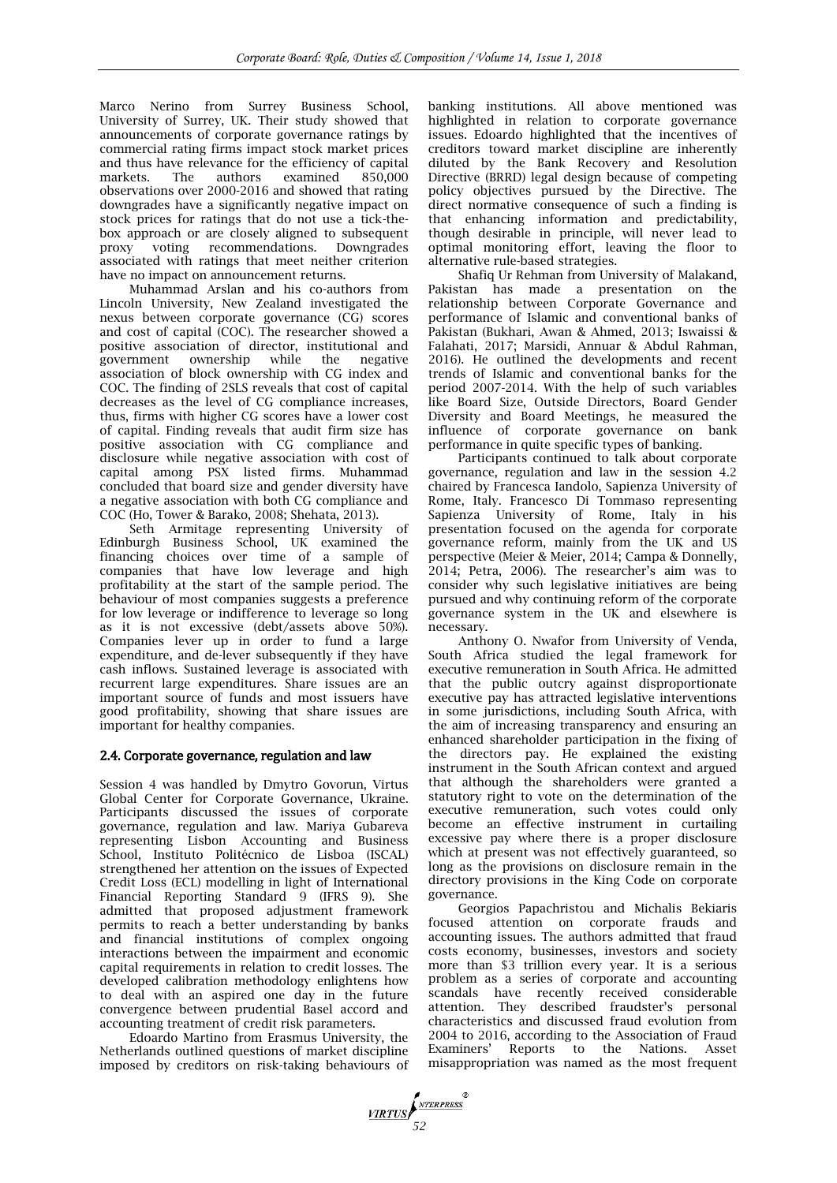Marco Nerino from Surrey Business School, University of Surrey, UK. Their study showed that announcements of corporate governance ratings by commercial rating firms impact stock market prices and thus have relevance for the efficiency of capital<br>markets. The authors examined 850,000 markets. The authors examined 850,000 observations over 2000-2016 and showed that rating downgrades have a significantly negative impact on stock prices for ratings that do not use a tick-thebox approach or are closely aligned to subsequent proxy voting recommendations. Downgrades associated with ratings that meet neither criterion have no impact on announcement returns.

Muhammad Arslan and his co-authors from Lincoln University, New Zealand investigated the nexus between corporate governance (CG) scores and cost of capital (COC). The researcher showed a positive association of director, institutional and government ownership while the negative association of block ownership with CG index and COC. The finding of 2SLS reveals that cost of capital decreases as the level of CG compliance increases, thus, firms with higher CG scores have a lower cost of capital. Finding reveals that audit firm size has positive association with CG compliance and disclosure while negative association with cost of capital among PSX listed firms. Muhammad concluded that board size and gender diversity have a negative association with both CG compliance and COC (Ho, Tower & Barako, 2008; Shehata, 2013).

Seth Armitage representing University of Edinburgh Business School, UK examined the financing choices over time of a sample of companies that have low leverage and high profitability at the start of the sample period. The behaviour of most companies suggests a preference for low leverage or indifference to leverage so long as it is not excessive (debt/assets above 50%). Companies lever up in order to fund a large expenditure, and de-lever subsequently if they have cash inflows. Sustained leverage is associated with recurrent large expenditures. Share issues are an important source of funds and most issuers have good profitability, showing that share issues are important for healthy companies.

# 2.4. Corporate governance, regulation and law

Session 4 was handled by Dmytro Govorun, Virtus Global Center for Corporate Governance, Ukraine. Participants discussed the issues of corporate governance, regulation and law. Mariya Gubareva representing Lisbon Accounting and Business School, Instituto Politécnico de Lisboa (ISCAL) strengthened her attention on the issues of Expected Credit Loss (ECL) modelling in light of International Financial Reporting Standard 9 (IFRS 9). She admitted that proposed adjustment framework permits to reach a better understanding by banks and financial institutions of complex ongoing interactions between the impairment and economic capital requirements in relation to credit losses. The developed calibration methodology enlightens how to deal with an aspired one day in the future convergence between prudential Basel accord and accounting treatment of credit risk parameters.

Edoardo Martino from Erasmus University, the Netherlands outlined questions of market discipline imposed by creditors on risk-taking behaviours of banking institutions. All above mentioned was highlighted in relation to corporate governance issues. Edoardo highlighted that the incentives of creditors toward market discipline are inherently diluted by the Bank Recovery and Resolution Directive (BRRD) legal design because of competing policy objectives pursued by the Directive. The direct normative consequence of such a finding is that enhancing information and predictability, though desirable in principle, will never lead to optimal monitoring effort, leaving the floor to alternative rule-based strategies.

Shafiq Ur Rehman from University of Malakand, Pakistan has made a presentation on the relationship between Corporate Governance and performance of Islamic and conventional banks of Pakistan (Bukhari, Awan & Ahmed, 2013; Iswaissi & Falahati, 2017; Marsidi, Annuar & Abdul Rahman, 2016). He outlined the developments and recent trends of Islamic and conventional banks for the period 2007-2014. With the help of such variables like Board Size, Outside Directors, Board Gender Diversity and Board Meetings, he measured the influence of corporate governance on bank performance in quite specific types of banking.

Participants continued to talk about corporate governance, regulation and law in the session 4.2 chaired by Francesca Iandolo, Sapienza University of Rome, Italy. Francesco Di Tommaso representing Sapienza University of Rome, Italy in his presentation focused on the agenda for corporate governance reform, mainly from the UK and US perspective (Meier & Meier, 2014; Campa & Donnelly, 2014; Petra, 2006). The researcher's aim was to consider why such legislative initiatives are being pursued and why continuing reform of the corporate governance system in the UK and elsewhere is necessary.

Anthony O. Nwafor from University of Venda, South Africa studied the legal framework for executive remuneration in South Africa. He admitted that the public outcry against disproportionate executive pay has attracted legislative interventions in some jurisdictions, including South Africa, with the aim of increasing transparency and ensuring an enhanced shareholder participation in the fixing of the directors pay. He explained the existing instrument in the South African context and argued that although the shareholders were granted a statutory right to vote on the determination of the executive remuneration, such votes could only become an effective instrument in curtailing excessive pay where there is a proper disclosure which at present was not effectively guaranteed, so long as the provisions on disclosure remain in the directory provisions in the King Code on corporate governance.

Georgios Papachristou and Michalis Bekiaris focused attention on corporate frauds and accounting issues. The authors admitted that fraud costs economy, businesses, investors and society more than \$3 trillion every year. It is a serious problem as a series of corporate and accounting scandals have recently received considerable attention. They described fraudster's personal characteristics and discussed fraud evolution from 2004 to 2016, according to the Association of Fraud Examiners' Reports to the Nations. Asset misappropriation was named as the most frequent

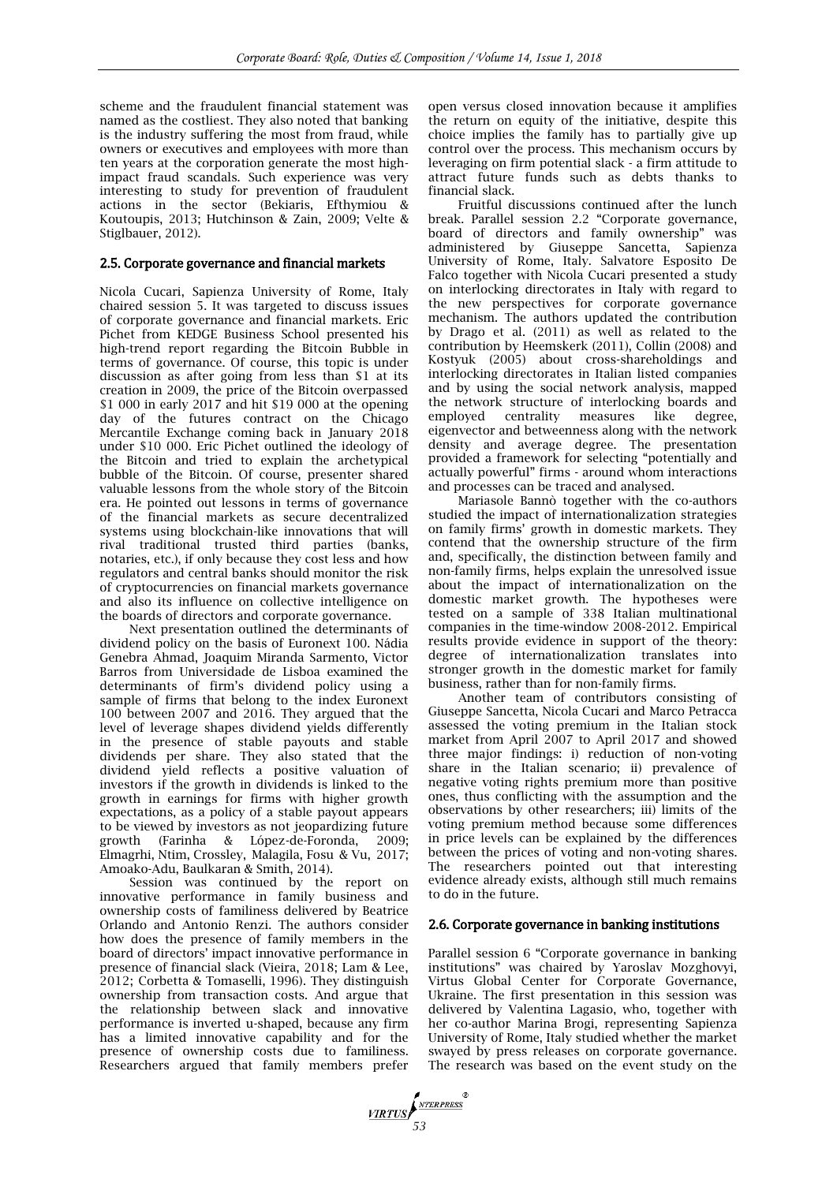scheme and the fraudulent financial statement was named as the costliest. They also noted that banking is the industry suffering the most from fraud, while owners or executives and employees with more than ten years at the corporation generate the most highimpact fraud scandals. Such experience was very interesting to study for prevention of fraudulent actions in the sector (Bekiaris, Efthymiou & Koutoupis, 2013; Hutchinson & Zain, 2009; Velte & Stiglbauer, 2012).

## 2.5. Corporate governance and financial markets

Nicola Cucari, Sapienza University of Rome, Italy chaired session 5. It was targeted to discuss issues of corporate governance and financial markets. Eric Pichet from KEDGE Business School presented his high-trend report regarding the Bitcoin Bubble in terms of governance. Of course, this topic is under discussion as after going from less than \$1 at its creation in 2009, the price of the Bitcoin overpassed \$1 000 in early 2017 and hit \$19 000 at the opening day of the futures contract on the Chicago Mercantile Exchange coming back in January 2018 under \$10 000. Eric Pichet outlined the ideology of the Bitcoin and tried to explain the archetypical bubble of the Bitcoin. Of course, presenter shared valuable lessons from the whole story of the Bitcoin era. He pointed out lessons in terms of governance of the financial markets as secure decentralized systems using blockchain-like innovations that will rival traditional trusted third parties (banks, notaries, etc.), if only because they cost less and how regulators and central banks should monitor the risk of cryptocurrencies on financial markets governance and also its influence on collective intelligence on the boards of directors and corporate governance.

Next presentation outlined the determinants of dividend policy on the basis of Euronext 100. Nádia Genebra Ahmad, Joaquim Miranda Sarmento, Victor Barros from Universidade de Lisboa examined the determinants of firm's dividend policy using a sample of firms that belong to the index Euronext 100 between 2007 and 2016. They argued that the level of leverage shapes dividend yields differently in the presence of stable payouts and stable dividends per share. They also stated that the dividend yield reflects a positive valuation of investors if the growth in dividends is linked to the growth in earnings for firms with higher growth expectations, as a policy of a stable payout appears to be viewed by investors as not jeopardizing future growth (Farinha & López-de-Foronda, 2009; Elmagrhi, Ntim, Crossley, Malagila, Fosu & Vu, 2017; Amoako-Adu, Baulkaran & Smith, 2014).

Session was continued by the report on innovative performance in family business and ownership costs of familiness delivered by Beatrice Orlando and Antonio Renzi. The authors consider how does the presence of family members in the board of directors' impact innovative performance in presence of financial slack (Vieira, 2018; Lam & Lee, 2012; Corbetta & Tomaselli, 1996). They distinguish ownership from transaction costs. And argue that the relationship between slack and innovative performance is inverted u-shaped, because any firm has a limited innovative capability and for the presence of ownership costs due to familiness. Researchers argued that family members prefer open versus closed innovation because it amplifies the return on equity of the initiative, despite this choice implies the family has to partially give up control over the process. This mechanism occurs by leveraging on firm potential slack - a firm attitude to attract future funds such as debts thanks to financial slack.

Fruitful discussions continued after the lunch break. Parallel session 2.2 "Corporate governance, board of directors and family ownership" was administered by Giuseppe Sancetta, Sapienza University of Rome, Italy. Salvatore Esposito De Falco together with Nicola Cucari presented a study on interlocking directorates in Italy with regard to the new perspectives for corporate governance mechanism. The authors updated the contribution by Drago et al. (2011) as well as related to the contribution by Heemskerk (2011), Collin (2008) and Kostyuk (2005) about cross-shareholdings and interlocking directorates in Italian listed companies and by using the social network analysis, mapped the network structure of interlocking boards and employed centrality measures like degree, eigenvector and betweenness along with the network density and average degree. The presentation provided a framework for selecting "potentially and actually powerful" firms - around whom interactions and processes can be traced and analysed.

Mariasole Bannò together with the co-authors studied the impact of internationalization strategies on family firms' growth in domestic markets. They contend that the ownership structure of the firm and, specifically, the distinction between family and non-family firms, helps explain the unresolved issue about the impact of internationalization on the domestic market growth. The hypotheses were tested on a sample of 338 Italian multinational companies in the time-window 2008-2012. Empirical results provide evidence in support of the theory: degree of internationalization translates into stronger growth in the domestic market for family business, rather than for non-family firms.

Another team of contributors consisting of Giuseppe Sancetta, Nicola Cucari and Marco Petracca assessed the voting premium in the Italian stock market from April 2007 to April 2017 and showed three major findings: i) reduction of non-voting share in the Italian scenario; ii) prevalence of negative voting rights premium more than positive ones, thus conflicting with the assumption and the observations by other researchers; iii) limits of the voting premium method because some differences in price levels can be explained by the differences between the prices of voting and non-voting shares. The researchers pointed out that interesting evidence already exists, although still much remains to do in the future.

#### 2.6. Corporate governance in banking institutions

Parallel session 6 "Corporate governance in banking institutions" was chaired by Yaroslav Mozghovyi, Virtus Global Center for Corporate Governance, Ukraine. The first presentation in this session was delivered by Valentina Lagasio, who, together with her co-author Marina Brogi, representing Sapienza University of Rome, Italy studied whether the market swayed by press releases on corporate governance. The research was based on the event study on the

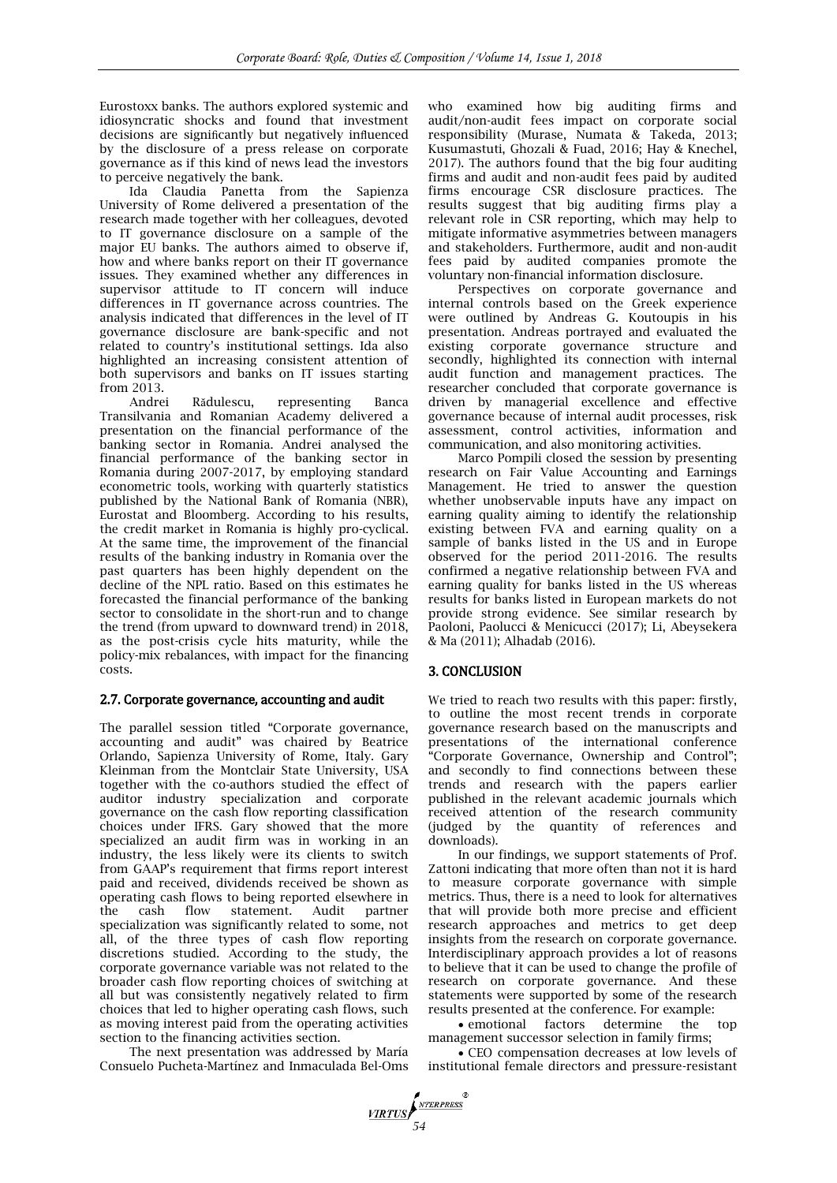Eurostoxx banks. The authors explored systemic and idiosyncratic shocks and found that investment decisions are significantly but negatively influenced by the disclosure of a press release on corporate governance as if this kind of news lead the investors to perceive negatively the bank.

Ida Claudia Panetta from the Sapienza University of Rome delivered a presentation of the research made together with her colleagues, devoted to IT governance disclosure on a sample of the major EU banks. The authors aimed to observe if, how and where banks report on their IT governance issues. They examined whether any differences in supervisor attitude to IT concern will induce differences in IT governance across countries. The analysis indicated that differences in the level of IT governance disclosure are bank-specific and not related to country's institutional settings. Ida also highlighted an increasing consistent attention of both supervisors and banks on IT issues starting from 2013.

Andrei Rădulescu, representing Banca Transilvania and Romanian Academy delivered a presentation on the financial performance of the banking sector in Romania. Andrei analysed the financial performance of the banking sector in Romania during 2007-2017, by employing standard econometric tools, working with quarterly statistics published by the National Bank of Romania (NBR), Eurostat and Bloomberg. According to his results, the credit market in Romania is highly pro-cyclical. At the same time, the improvement of the financial results of the banking industry in Romania over the past quarters has been highly dependent on the decline of the NPL ratio. Based on this estimates he forecasted the financial performance of the banking sector to consolidate in the short-run and to change the trend (from upward to downward trend) in 2018, as the post-crisis cycle hits maturity, while the policy-mix rebalances, with impact for the financing costs.

## 2.7. Corporate governance, accounting and audit

The parallel session titled "Corporate governance, accounting and audit" was chaired by Beatrice Orlando, Sapienza University of Rome, Italy. Gary Kleinman from the Montclair State University, USA together with the co-authors studied the effect of auditor industry specialization and corporate governance on the cash flow reporting classification choices under IFRS. Gary showed that the more specialized an audit firm was in working in an industry, the less likely were its clients to switch from GAAP's requirement that firms report interest paid and received, dividends received be shown as operating cash flows to being reported elsewhere in the cash flow statement. Audit partner specialization was significantly related to some, not all, of the three types of cash flow reporting discretions studied. According to the study, the corporate governance variable was not related to the broader cash flow reporting choices of switching at all but was consistently negatively related to firm choices that led to higher operating cash flows, such as moving interest paid from the operating activities section to the financing activities section.

The next presentation was addressed by María Consuelo Pucheta-Martínez and Inmaculada Bel-Oms who examined how big auditing firms and audit/non-audit fees impact on corporate social responsibility (Murase, Numata & Takeda, 2013; Kusumastuti, Ghozali & Fuad, 2016; Hay & Knechel, 2017). The authors found that the big four auditing firms and audit and non-audit fees paid by audited firms encourage CSR disclosure practices. The results suggest that big auditing firms play a relevant role in CSR reporting, which may help to mitigate informative asymmetries between managers and stakeholders. Furthermore, audit and non-audit fees paid by audited companies promote the voluntary non-financial information disclosure.

Perspectives on corporate governance and internal controls based on the Greek experience were outlined by Andreas G. Koutoupis in his presentation. Andreas portrayed and evaluated the existing corporate governance structure and secondly, highlighted its connection with internal audit function and management practices. The researcher concluded that corporate governance is driven by managerial excellence and effective governance because of internal audit processes, risk assessment, control activities, information and communication, and also monitoring activities.

Marco Pompili closed the session by presenting research on Fair Value Accounting and Earnings Management. He tried to answer the question whether unobservable inputs have any impact on earning quality aiming to identify the relationship existing between FVA and earning quality on a sample of banks listed in the US and in Europe observed for the period 2011-2016. The results confirmed a negative relationship between FVA and earning quality for banks listed in the US whereas results for banks listed in European markets do not provide strong evidence. See similar research by Paoloni, Paolucci & Menicucci (2017); Li, Abeysekera & Ma (2011); Alhadab (2016).

# 3. CONCLUSION

We tried to reach two results with this paper: firstly, to outline the most recent trends in corporate governance research based on the manuscripts and presentations of the international conference "Corporate Governance, Ownership and Control"; and secondly to find connections between these trends and research with the papers earlier published in the relevant academic journals which received attention of the research community (judged by the quantity of references and downloads).

In our findings, we support statements of Prof. Zattoni indicating that more often than not it is hard to measure corporate governance with simple metrics. Thus, there is a need to look for alternatives that will provide both more precise and efficient research approaches and metrics to get deep insights from the research on corporate governance. Interdisciplinary approach provides a lot of reasons to believe that it can be used to change the profile of research on corporate governance. And these statements were supported by some of the research results presented at the conference. For example:

 emotional factors determine the top management successor selection in family firms;

 CEO compensation decreases at low levels of institutional female directors and pressure-resistant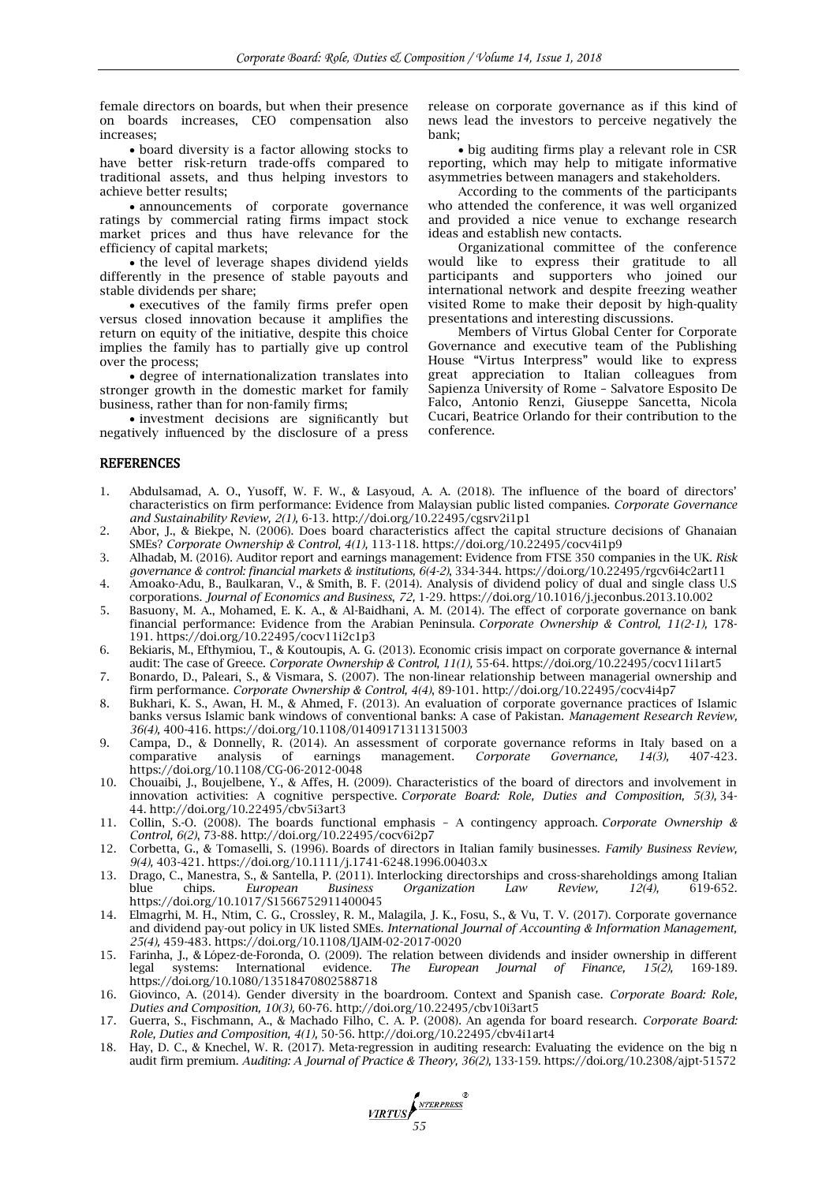female directors on boards, but when their presence on boards increases, CEO compensation also increases;

 board diversity is a factor allowing stocks to have better risk-return trade-offs compared to traditional assets, and thus helping investors to achieve better results;

 announcements of corporate governance ratings by commercial rating firms impact stock market prices and thus have relevance for the efficiency of capital markets;

• the level of leverage shapes dividend yields differently in the presence of stable payouts and stable dividends per share;

 executives of the family firms prefer open versus closed innovation because it amplifies the return on equity of the initiative, despite this choice implies the family has to partially give up control over the process;

 degree of internationalization translates into stronger growth in the domestic market for family business, rather than for non-family firms;

 investment decisions are significantly but negatively influenced by the disclosure of a press release on corporate governance as if this kind of news lead the investors to perceive negatively the bank;

 big auditing firms play a relevant role in CSR reporting, which may help to mitigate informative asymmetries between managers and stakeholders.

According to the comments of the participants who attended the conference, it was well organized and provided a nice venue to exchange research ideas and establish new contacts.

Organizational committee of the conference would like to express their gratitude to all participants and supporters who joined our international network and despite freezing weather visited Rome to make their deposit by high-quality presentations and interesting discussions.

Members of Virtus Global Center for Corporate Governance and executive team of the Publishing House "Virtus Interpress" would like to express great appreciation to Italian colleagues from Sapienza University of Rome – Salvatore Esposito De Falco, Antonio Renzi, Giuseppe Sancetta, Nicola Cucari, Beatrice Orlando for their contribution to the conference.

### **REFERENCES**

- 1. Abdulsamad, A. O., Yusoff, W. F. W., & Lasyoud, A. A. (2018). The influence of the board of directors' characteristics on firm performance: Evidence from Malaysian public listed companies. *Corporate Governance and Sustainability Review, 2(1),* 6-13. <http://doi.org/10.22495/cgsrv2i1p1>
- 2. Abor, J., & Biekpe, N. (2006). Does board characteristics affect the capital structure decisions of Ghanaian SMEs? *Corporate Ownership & Control, 4(1),* 113-118. https://doi.org/10.22495/cocv4i1p9
- 3. Alhadab, M. (2016). Auditor report and earnings management: Evidence from FTSE 350 companies in the UK. *Risk governance & control: financial markets & institutions, 6(4-2)*, 334-344. https://doi.org/10.22495/rgcv6i4c2art11
- 4. Amoako-Adu, B., Baulkaran, V., & Smith, B. F. (2014). Analysis of dividend policy of dual and single class U.S corporations. *Journal of Economics and Business*, *72,* 1-29. https://doi.org/10.1016/j.jeconbus.2013.10.002
- 5. Basuony, M. A., Mohamed, E. K. A., & Al-Baidhani, A. M. (2014). The effect of corporate governance on bank financial performance: Evidence from the Arabian Peninsula. *Corporate Ownership & Control, 11(2-1),* 178- 191. https://doi.org/10.22495/cocv11i2c1p3
- 6. Bekiaris, M., Efthymiou, T., & Koutoupis, A. G. (2013). Economic crisis impact on corporate governance & internal audit: The case of Greece. *Corporate Ownership & Control, 11(1),* 55-64. https://doi.org/10.22495/cocv11i1art5
- 7. Bonardo, D., Paleari, S., & Vismara, S. (2007). The non-linear relationship between managerial ownership and firm performance. *Corporate Ownership & Control, 4(4)*, 89-101. <http://doi.org/10.22495/cocv4i4p7>
- 8. Bukhari, K. S., Awan, H. M., & Ahmed, F. (2013). An evaluation of corporate governance practices of Islamic banks versus Islamic bank windows of conventional banks: A case of Pakistan. *Management Research Review, 36(4),* 400-416. https://doi.org/10.1108/01409171311315003
- 9. Campa, D., & Donnelly, R. (2014). An assessment of corporate governance reforms in Italy based on a comparative analysis of earnings management. *Corporate Governance*, 14(3), 407-423. comparative analysis of earnings management. *Corporate Governance, 14(3),* 407-423. https://doi.org/10.1108/CG-06-2012-0048
- 10. Chouaibi, J., Boujelbene, Y., & Affes, H. (2009). Characteristics of the board of directors and involvement in innovation activities: A cognitive perspective. *Corporate Board: Role, Duties and Composition, 5(3),* 34- 44. <http://doi.org/10.22495/cbv5i3art3>
- 11. Collin, S.-O. (2008). The boards functional emphasis A contingency approach. *Corporate Ownership & Control, 6(2)*, 73-88. <http://doi.org/10.22495/cocv6i2p7>
- 12. Corbetta, G., & Tomaselli, S. (1996). Boards of directors in Italian family businesses. *Family Business Review, 9(4),* 403-421. https://doi.org/10.1111/j.1741-6248.1996.00403.x
- 13. Drago, C., Manestra, S., & Santella, P. (2011). Interlocking directorships and cross-shareholdings among Italian blue chips. *European Business Organization Law Review, 12(4),* 619-652. https://doi.org/10.1017/S1566752911400045
- 14. Elmagrhi, M. H., Ntim, C. G., Crossley, R. M., Malagila, J. K., Fosu, S., & Vu, T. V. (2017). Corporate governance and dividend pay-out policy in UK listed SMEs. *International Journal of Accounting & Information Management, 25(4),* 459-483. https://doi.org/10.1108/IJAIM-02-2017-0020
- 15. Farinha, J., & López-de-Foronda, O. (2009). [The relation between dividends and insider ownership in different](https://www.tandfonline.com/doi/abs/10.1080/13518470802588718)  [legal systems: International evidence.](https://www.tandfonline.com/doi/abs/10.1080/13518470802588718) *The European Journal of Finance, 15(2),* 169-189. https://doi.org/10.1080/13518470802588718
- 16. Giovinco, A. (2014). Gender diversity in the boardroom. Context and Spanish case. *Corporate Board: Role, Duties and Composition, 10(3),* 60-76[. http://doi.org/10.22495/cbv10i3art5](http://doi.org/10.22495/cbv10i3art5)
- 17. Guerra, S., Fischmann, A., & Machado Filho, C. A. P. (2008). An agenda for board research. *Corporate Board: Role, Duties and Composition, 4(1),* 50-56.<http://doi.org/10.22495/cbv4i1art4>
- 18. Hay, D. C., & Knechel, W. R. (2017). Meta-regression in auditing research: Evaluating the evidence on the big n audit firm premium. *Auditing: A Journal of Practice & Theory, 36(2),* 133-159. https://doi.org/10.2308/ajpt-51572